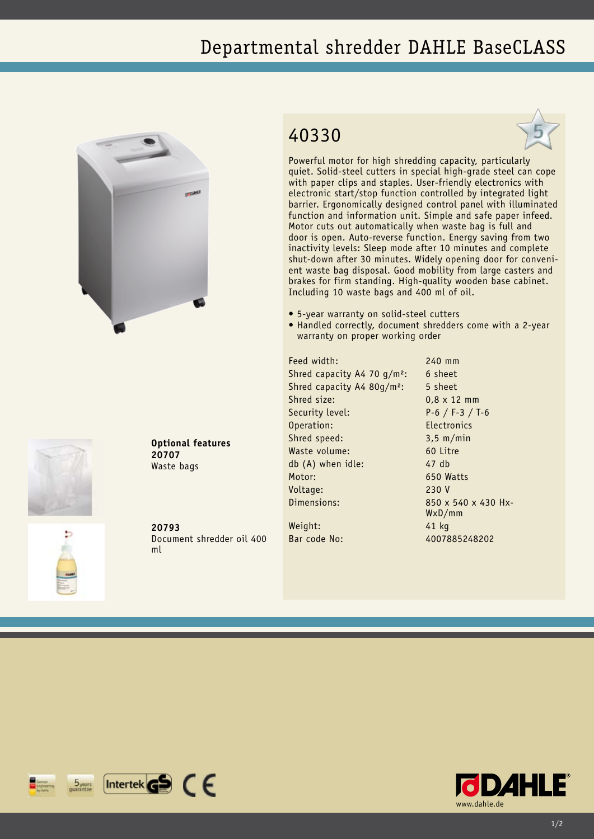## Departmental shredder DAHLE BaseCLASS





**Optional features 20707** Waste bags

**20793** Document shredder oil 400 ml

## 40330



Powerful motor for high shredding capacity, particularly quiet. Solid-steel cutters in special high-grade steel can cope with paper clips and staples. User-friendly electronics with electronic start/stop function controlled by integrated light barrier. Ergonomically designed control panel with illuminated function and information unit. Simple and safe paper infeed. Motor cuts out automatically when waste bag is full and door is open. Auto-reverse function. Energy saving from two inactivity levels: Sleep mode after 10 minutes and complete shut-down after 30 minutes. Widely opening door for convenient waste bag disposal. Good mobility from large casters and brakes for firm standing. High-quality wooden base cabinet. Including 10 waste bags and 400 ml of oil.

- • 5-year warranty on solid-steel cutters
- Handled correctly, document shredders come with a 2-year warranty on proper working order

Feed width: 240 mm Shred capacity A4 70  $q/m^2$ : 6 sheet Shred capacity A4 80g/m<sup>2</sup>: 5 sheet Shred size: 0.8 x 12 mm Security level: P-6 / F-3 / T-6 Operation: Electronics Shred speed: 3,5 m/min Waste volume: 60 Litre db (A) when idle: 47 db Motor: 650 Watts Voltage: 230 V Dimensions: 850 x 540 x 430 Hx-Weight: 41 kg

WxD/mm Bar code No: 4007885248202